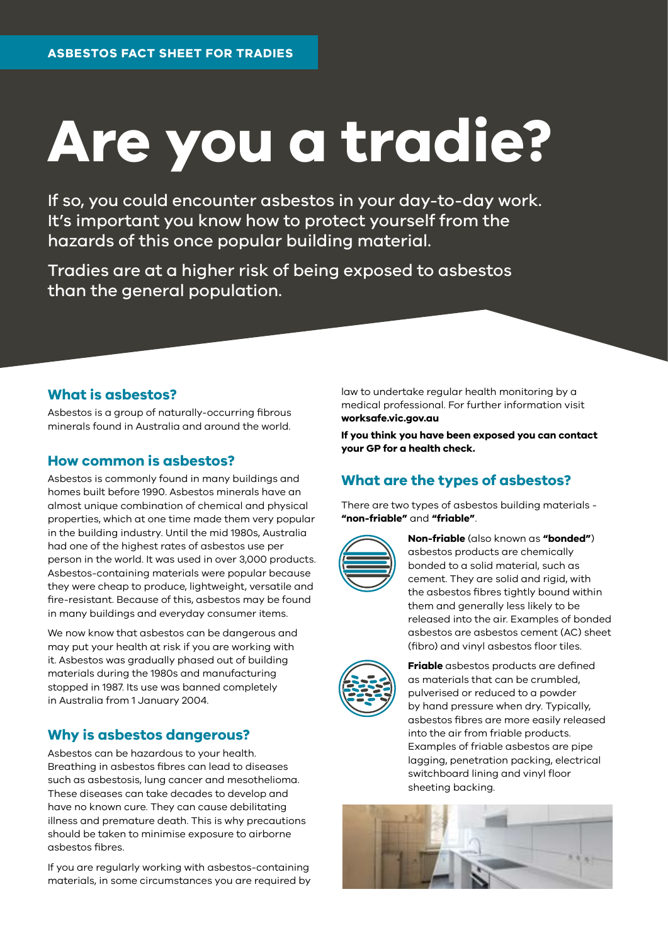# **Are you a tradie?**

If so, you could encounter asbestos in your day-to-day work. It's important you know how to protect yourself from the hazards of this once popular building material.

Tradies are at a higher risk of being exposed to asbestos than the general population.

#### **What is asbestos?**

Asbestos is a group of naturally-occurring fibrous minerals found in Australia and around the world.

#### **How common is asbestos?**

Asbestos is commonly found in many buildings and homes built before 1990. Asbestos minerals have an almost unique combination of chemical and physical properties, which at one time made them very popular in the building industry. Until the mid 1980s, Australia had one of the highest rates of asbestos use per person in the world. It was used in over 3,000 products. Asbestos-containing materials were popular because they were cheap to produce, lightweight, versatile and fire-resistant. Because of this, asbestos may be found in many buildings and everyday consumer items.

We now know that asbestos can be dangerous and may put your health at risk if you are working with it. Asbestos was gradually phased out of building materials during the 1980s and manufacturing stopped in 1987. Its use was banned completely in Australia from 1 January 2004.

#### **Why is asbestos dangerous?**

Asbestos can be hazardous to your health. Breathing in asbestos fibres can lead to diseases such as asbestosis, lung cancer and mesothelioma. These diseases can take decades to develop and have no known cure. They can cause debilitating illness and premature death. This is why precautions should be taken to minimise exposure to airborne asbestos fibres.

If you are regularly working with asbestos-containing materials, in some circumstances you are required by law to undertake regular health monitoring by a medical professional. For further information visit **[worksafe.vic.gov.au](http://worksafe.vic.gov.au)** 

**If you think you have been exposed you can contact your GP for a health check.**

## **What are the types of asbestos?**

There are two types of asbestos building materials - **"non-friable"** and **"friable"**.



**Non-friable** (also known as **"bonded"**) asbestos products are chemically bonded to a solid material, such as cement. They are solid and rigid, with the asbestos fibres tightly bound within them and generally less likely to be released into the air. Examples of bonded asbestos are asbestos cement (AC) sheet (fibro) and vinyl asbestos floor tiles.



**Friable** asbestos products are defined as materials that can be crumbled, pulverised or reduced to a powder by hand pressure when dry. Typically, asbestos fibres are more easily released into the air from friable products. Examples of friable asbestos are pipe lagging, penetration packing, electrical switchboard lining and vinyl floor sheeting backing.

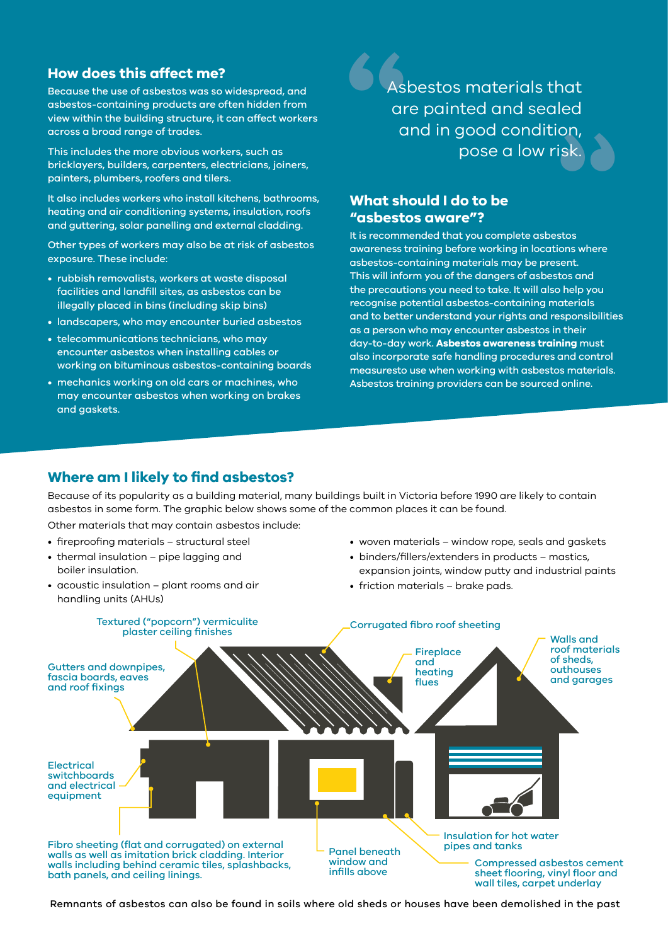#### **How does this affect me?**

Because the use of asbestos was so widespread, and asbestos-containing products are often hidden from view within the building structure, it can affect workers across a broad range of trades.

This includes the more obvious workers, such as bricklayers, builders, carpenters, electricians, joiners, painters, plumbers, roofers and tilers.

It also includes workers who install kitchens, bathrooms, heating and air conditioning systems, insulation, roofs and guttering, solar panelling and external cladding.

Other types of workers may also be at risk of asbestos exposure. These include:

- rubbish removalists, workers at waste disposal facilities and landfill sites, as asbestos can be illegally placed in bins (including skip bins)
- landscapers, who may encounter buried asbestos
- telecommunications technicians, who may encounter asbestos when installing cables or working on bituminous asbestos-containing boards
- mechanics working on old cars or machines, who may encounter asbestos when working on brakes and gaskets.

**sk. 1**<br> **1**<br> **1**<br> **1**<br> **1**<br> **1**<br> **1**<br> **1** Asbestos materials that are painted and sealed and in good condition, pose a low risk.

# **What should I do to be**

**"asbestos aware"?**

It is recommended that you complete asbestos awareness training before working in locations where asbestos-containing materials may be present. This will inform you of the dangers of asbestos and the precautions you need to take. It will also help you recognise potential asbestos-containing materials and to better understand your rights and responsibilities as a person who may encounter asbestos in their day-to-day work. **Asbestos awareness training** must also incorporate safe handling procedures and control measuresto use when working with asbestos materials. Asbestos training providers can be sourced online.

#### **Where am I likely to find asbestos?**

Because of its popularity as a building material, many buildings built in Victoria before 1990 are likely to contain asbestos in some form. The graphic below shows some of the common places it can be found.

Other materials that may contain asbestos include:

- fireproofing materials structural steel
- thermal insulation pipe lagging and boiler insulation.
- acoustic insulation plant rooms and air handling units (AHUs)
- woven materials window rope, seals and gaskets
- binders/fillers/extenders in products mastics, expansion joints, window putty and industrial paints
- friction materials brake pads.



Remnants of asbestos can also be found in soils where old sheds or houses have been demolished in the past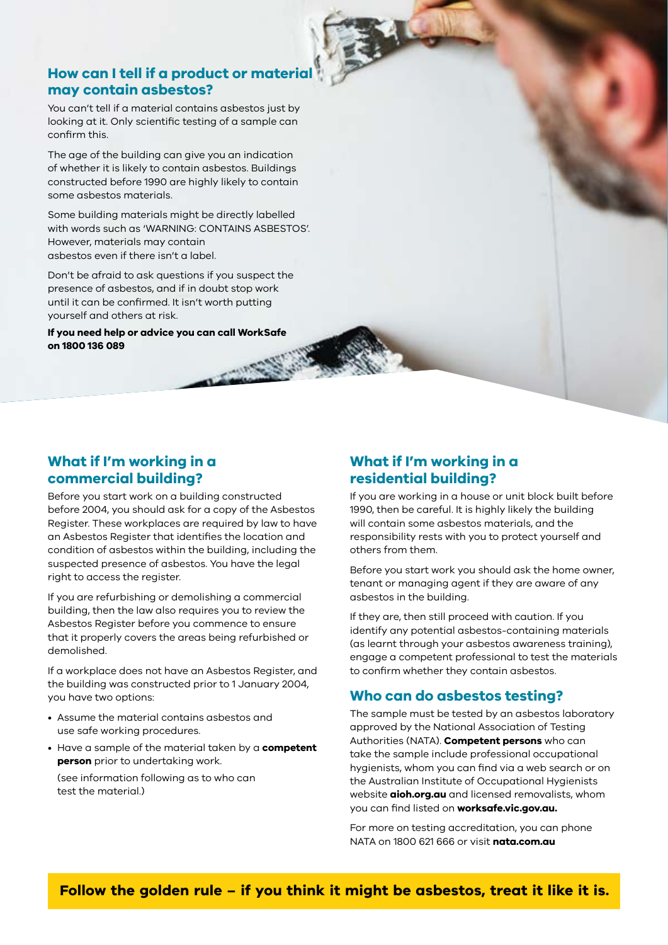#### **How can I tell if a product or materia may contain asbestos?**

You can't tell if a material contains asbestos just by looking at it. Only scientific testing of a sample can confirm this.

The age of the building can give you an indication of whether it is likely to contain asbestos. Buildings constructed before 1990 are highly likely to contain some asbestos materials.

Some building materials might be directly labelled with words such as 'WARNING: CONTAINS ASBESTOS'. However, materials may contain asbestos even if there isn't a label.

Don't be afraid to ask questions if you suspect the presence of asbestos, and if in doubt stop work until it can be confirmed. It isn't worth putting yourself and others at risk.

**If you need help or advice you can call WorkSafe on 1800 136 089**

#### **What if I'm working in a commercial building?**

Before you start work on a building constructed before 2004, you should ask for a copy of the Asbestos Register. These workplaces are required by law to have an Asbestos Register that identifies the location and condition of asbestos within the building, including the suspected presence of asbestos. You have the legal right to access the register.

If you are refurbishing or demolishing a commercial building, then the law also requires you to review the Asbestos Register before you commence to ensure that it properly covers the areas being refurbished or demolished.

If a workplace does not have an Asbestos Register, and the building was constructed prior to 1 January 2004, you have two options:

- Assume the material contains asbestos and use safe working procedures.
- Have a sample of the material taken by a **competent person** prior to undertaking work. (see information following as to who can test the material.)

## **What if I'm working in a residential building?**

If you are working in a house or unit block built before 1990, then be careful. It is highly likely the building will contain some asbestos materials, and the responsibility rests with you to protect yourself and others from them.

Before you start work you should ask the home owner, tenant or managing agent if they are aware of any asbestos in the building.

If they are, then still proceed with caution. If you identify any potential asbestos-containing materials (as learnt through your asbestos awareness training), engage a competent professional to test the materials to confirm whether they contain asbestos.

#### **Who can do asbestos testing?**

The sample must be tested by an asbestos laboratory approved by the National Association of Testing Authorities (NATA). **Competent persons** who can take the sample include professional occupational hygienists, whom you can find via a web search or on the Australian Institute of Occupational Hygienists website **[aioh.org.au](http://aioh.org.au)** and licensed removalists, whom you can find listed on **[worksafe.vic.gov.au.](http://worksafe.vic.gov.au)** 

For more on testing accreditation, you can phone NATA on 1800 621 666 or visit **[nata.com.au](http://nata.com.au)**